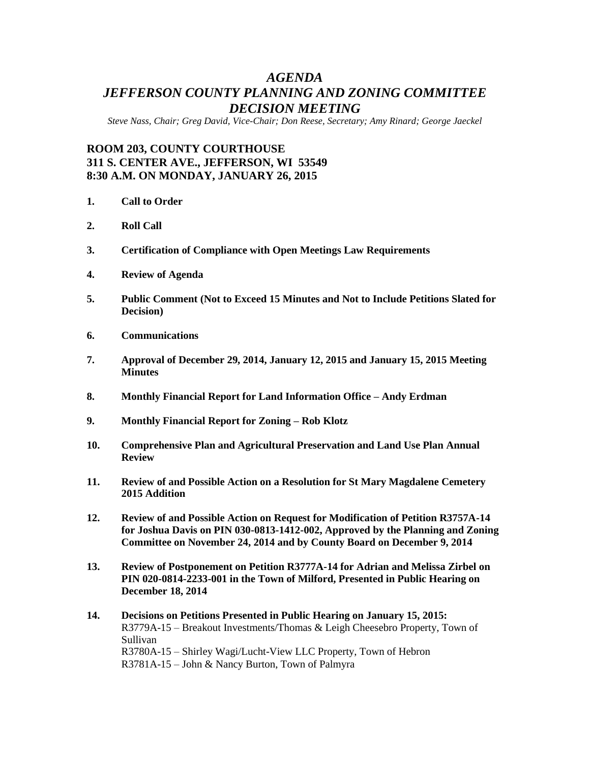# *AGENDA JEFFERSON COUNTY PLANNING AND ZONING COMMITTEE DECISION MEETING*

*Steve Nass, Chair; Greg David, Vice-Chair; Don Reese, Secretary; Amy Rinard; George Jaeckel*

## **ROOM 203, COUNTY COURTHOUSE 311 S. CENTER AVE., JEFFERSON, WI 53549 8:30 A.M. ON MONDAY, JANUARY 26, 2015**

- **1. Call to Order**
- **2. Roll Call**
- **3. Certification of Compliance with Open Meetings Law Requirements**
- **4. Review of Agenda**
- **5. Public Comment (Not to Exceed 15 Minutes and Not to Include Petitions Slated for Decision)**
- **6. Communications**
- **7. Approval of December 29, 2014, January 12, 2015 and January 15, 2015 Meeting Minutes**
- **8. Monthly Financial Report for Land Information Office – Andy Erdman**
- **9. Monthly Financial Report for Zoning – Rob Klotz**
- **10. Comprehensive Plan and Agricultural Preservation and Land Use Plan Annual Review**
- **11. Review of and Possible Action on a Resolution for St Mary Magdalene Cemetery 2015 Addition**
- **12. Review of and Possible Action on Request for Modification of Petition R3757A-14 for Joshua Davis on PIN 030-0813-1412-002, Approved by the Planning and Zoning Committee on November 24, 2014 and by County Board on December 9, 2014**
- **13. Review of Postponement on Petition R3777A-14 for Adrian and Melissa Zirbel on PIN 020-0814-2233-001 in the Town of Milford, Presented in Public Hearing on December 18, 2014**
- **14. Decisions on Petitions Presented in Public Hearing on January 15, 2015:** R3779A-15 – Breakout Investments/Thomas & Leigh Cheesebro Property, Town of Sullivan R3780A-15 – Shirley Wagi/Lucht-View LLC Property, Town of Hebron R3781A-15 – John & Nancy Burton, Town of Palmyra